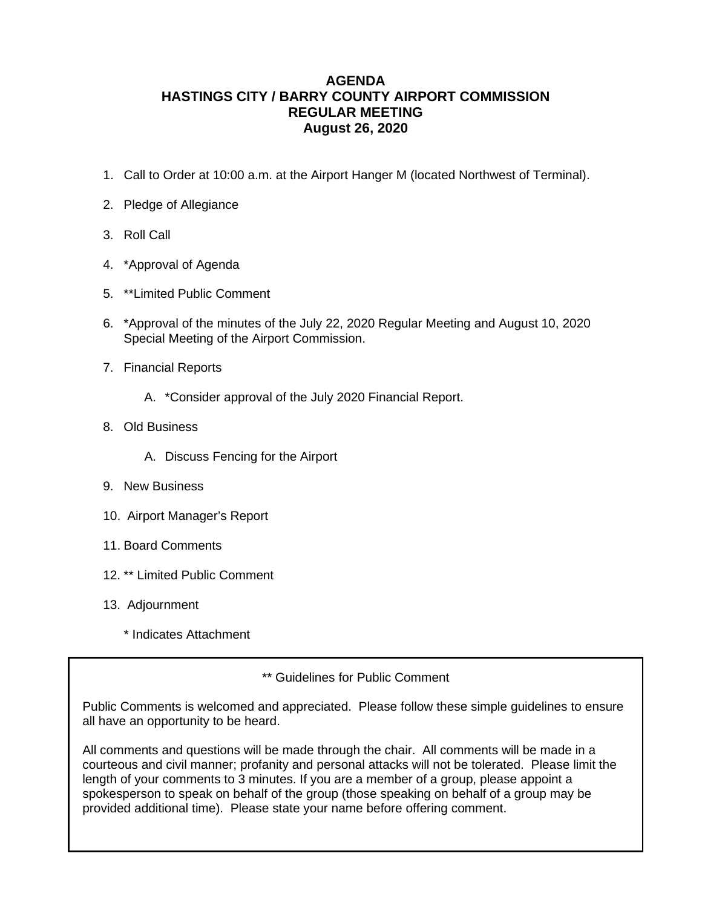### **AGENDA HASTINGS CITY / BARRY COUNTY AIRPORT COMMISSION REGULAR MEETING August 26, 2020**

- 1. Call to Order at 10:00 a.m. at the Airport Hanger M (located Northwest of Terminal).
- 2. Pledge of Allegiance
- 3. Roll Call
- 4. \*Approval of Agenda
- 5. \*\*Limited Public Comment
- 6. \*Approval of the minutes of the July 22, 2020 Regular Meeting and August 10, 2020 Special Meeting of the Airport Commission.
- 7. Financial Reports
	- A. \*Consider approval of the July 2020 Financial Report.
- 8. Old Business
	- A. Discuss Fencing for the Airport
- 9. New Business
- 10. Airport Manager's Report
- 11. Board Comments
- 12. \*\* Limited Public Comment
- 13. Adjournment
	- \* Indicates Attachment

\*\* Guidelines for Public Comment

Public Comments is welcomed and appreciated. Please follow these simple guidelines to ensure all have an opportunity to be heard.

All comments and questions will be made through the chair. All comments will be made in a courteous and civil manner; profanity and personal attacks will not be tolerated. Please limit the length of your comments to 3 minutes. If you are a member of a group, please appoint a spokesperson to speak on behalf of the group (those speaking on behalf of a group may be provided additional time). Please state your name before offering comment.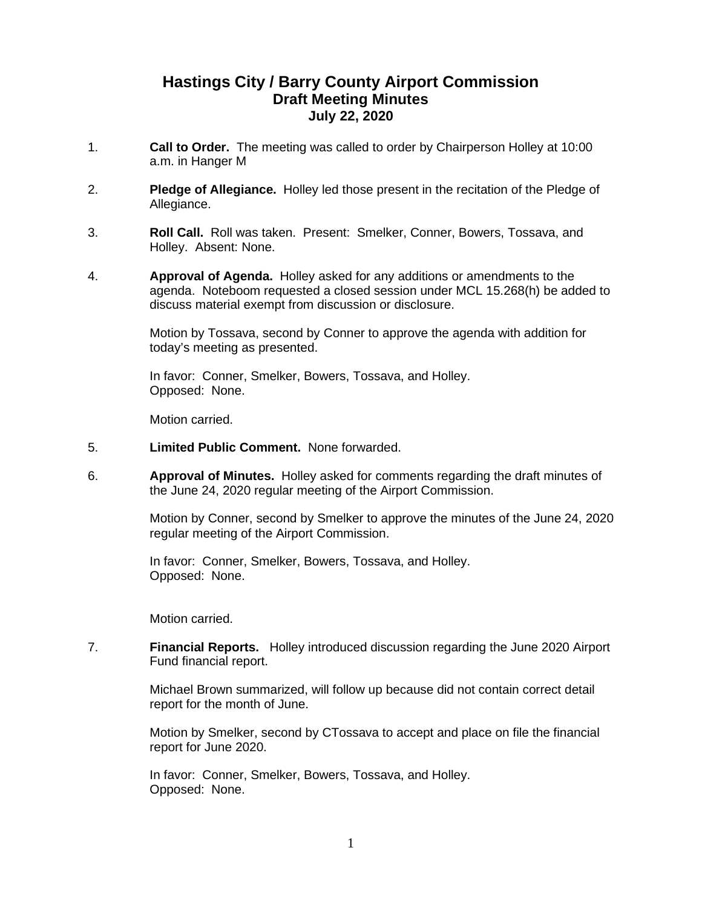# **Hastings City / Barry County Airport Commission Draft Meeting Minutes July 22, 2020**

- 1. **Call to Order.** The meeting was called to order by Chairperson Holley at 10:00 a.m. in Hanger M
- 2. **Pledge of Allegiance.** Holley led those present in the recitation of the Pledge of Allegiance.
- 3. **Roll Call.** Roll was taken. Present: Smelker, Conner, Bowers, Tossava, and Holley. Absent: None.
- 4. **Approval of Agenda.** Holley asked for any additions or amendments to the agenda. Noteboom requested a closed session under MCL 15.268(h) be added to discuss material exempt from discussion or disclosure.

Motion by Tossava, second by Conner to approve the agenda with addition for today's meeting as presented.

In favor: Conner, Smelker, Bowers, Tossava, and Holley. Opposed: None.

Motion carried.

- 5. **Limited Public Comment.** None forwarded.
- 6. **Approval of Minutes.** Holley asked for comments regarding the draft minutes of the June 24, 2020 regular meeting of the Airport Commission.

Motion by Conner, second by Smelker to approve the minutes of the June 24, 2020 regular meeting of the Airport Commission.

In favor: Conner, Smelker, Bowers, Tossava, and Holley. Opposed: None.

Motion carried.

7. **Financial Reports.** Holley introduced discussion regarding the June 2020 Airport Fund financial report.

> Michael Brown summarized, will follow up because did not contain correct detail report for the month of June.

Motion by Smelker, second by CTossava to accept and place on file the financial report for June 2020.

In favor: Conner, Smelker, Bowers, Tossava, and Holley. Opposed: None.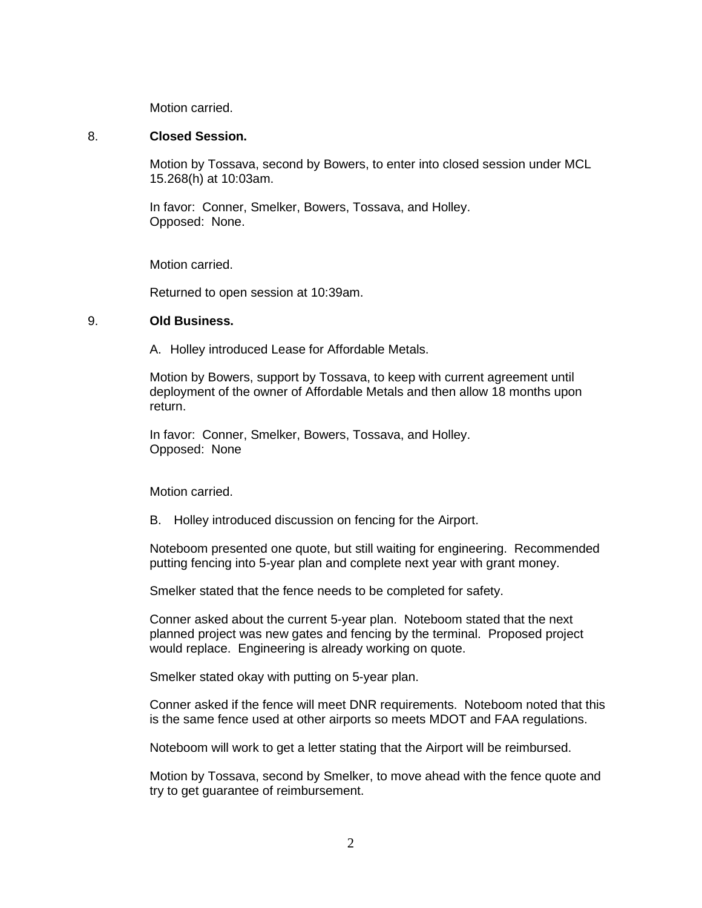Motion carried.

#### 8. **Closed Session.**

Motion by Tossava, second by Bowers, to enter into closed session under MCL 15.268(h) at 10:03am.

In favor: Conner, Smelker, Bowers, Tossava, and Holley. Opposed: None.

Motion carried.

Returned to open session at 10:39am.

#### 9. **Old Business.**

A. Holley introduced Lease for Affordable Metals.

Motion by Bowers, support by Tossava, to keep with current agreement until deployment of the owner of Affordable Metals and then allow 18 months upon return.

In favor: Conner, Smelker, Bowers, Tossava, and Holley. Opposed: None

Motion carried.

B. Holley introduced discussion on fencing for the Airport.

Noteboom presented one quote, but still waiting for engineering. Recommended putting fencing into 5-year plan and complete next year with grant money.

Smelker stated that the fence needs to be completed for safety.

Conner asked about the current 5-year plan. Noteboom stated that the next planned project was new gates and fencing by the terminal. Proposed project would replace. Engineering is already working on quote.

Smelker stated okay with putting on 5-year plan.

Conner asked if the fence will meet DNR requirements. Noteboom noted that this is the same fence used at other airports so meets MDOT and FAA regulations.

Noteboom will work to get a letter stating that the Airport will be reimbursed.

Motion by Tossava, second by Smelker, to move ahead with the fence quote and try to get guarantee of reimbursement.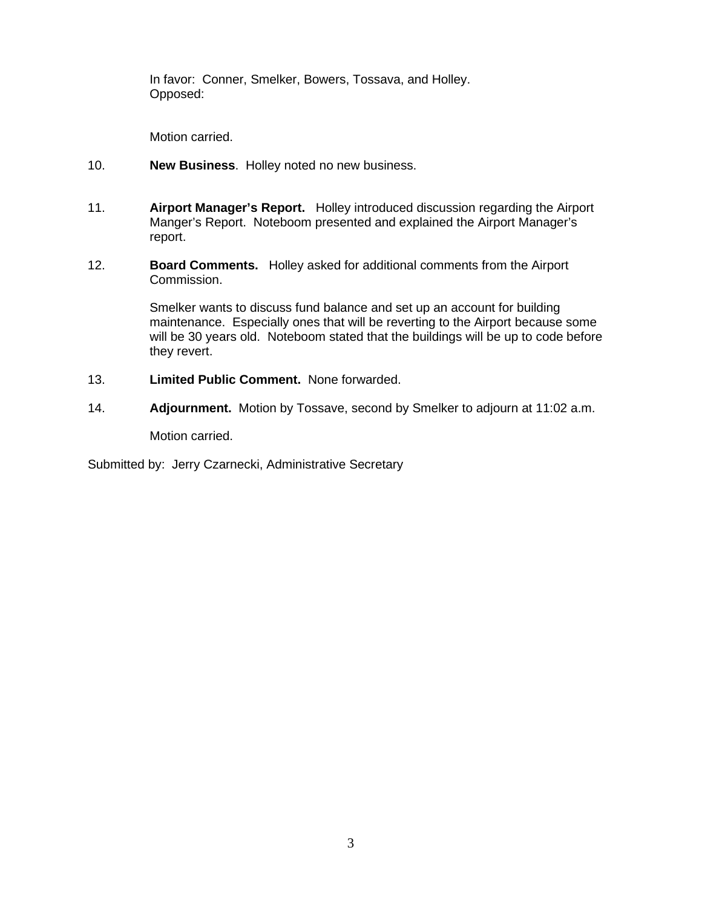In favor: Conner, Smelker, Bowers, Tossava, and Holley. Opposed:

Motion carried.

- 10. **New Business**. Holley noted no new business.
- 11. **Airport Manager's Report.** Holley introduced discussion regarding the Airport Manger's Report. Noteboom presented and explained the Airport Manager's report.
- 12. **Board Comments.** Holley asked for additional comments from the Airport Commission.

Smelker wants to discuss fund balance and set up an account for building maintenance. Especially ones that will be reverting to the Airport because some will be 30 years old. Noteboom stated that the buildings will be up to code before they revert.

- 13. **Limited Public Comment.** None forwarded.
- 14. **Adjournment.** Motion by Tossave, second by Smelker to adjourn at 11:02 a.m.

Motion carried.

Submitted by: Jerry Czarnecki, Administrative Secretary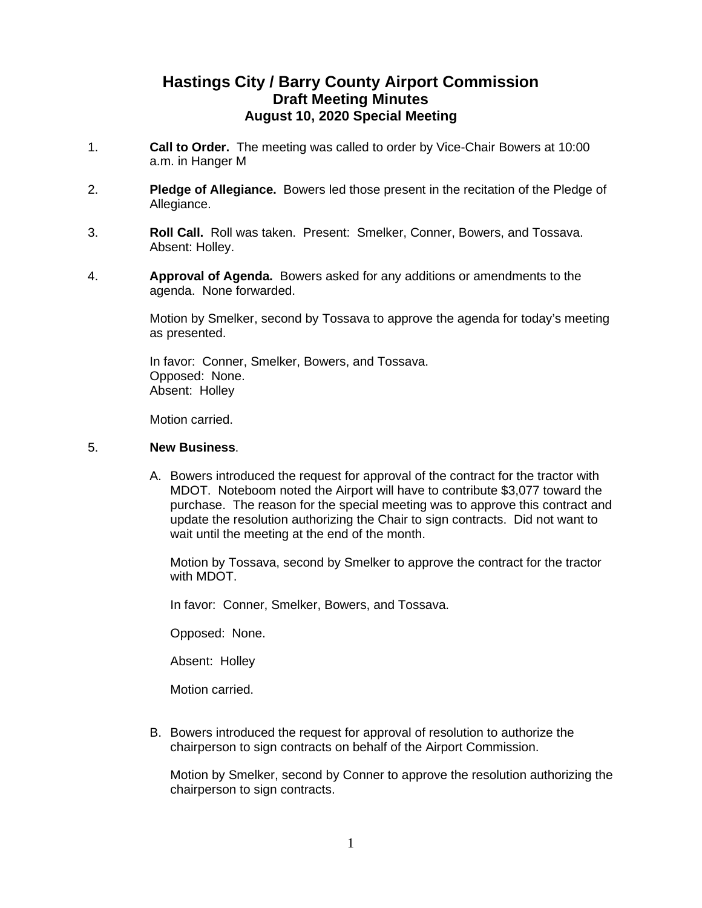# **Hastings City / Barry County Airport Commission Draft Meeting Minutes August 10, 2020 Special Meeting**

- 1. **Call to Order.** The meeting was called to order by Vice-Chair Bowers at 10:00 a.m. in Hanger M
- 2. **Pledge of Allegiance.** Bowers led those present in the recitation of the Pledge of Allegiance.
- 3. **Roll Call.** Roll was taken. Present: Smelker, Conner, Bowers, and Tossava. Absent: Holley.
- 4. **Approval of Agenda.** Bowers asked for any additions or amendments to the agenda. None forwarded.

Motion by Smelker, second by Tossava to approve the agenda for today's meeting as presented.

In favor: Conner, Smelker, Bowers, and Tossava. Opposed: None. Absent: Holley

Motion carried.

### 5. **New Business**.

A. Bowers introduced the request for approval of the contract for the tractor with MDOT. Noteboom noted the Airport will have to contribute \$3,077 toward the purchase. The reason for the special meeting was to approve this contract and update the resolution authorizing the Chair to sign contracts. Did not want to wait until the meeting at the end of the month.

Motion by Tossava, second by Smelker to approve the contract for the tractor with MDOT.

In favor: Conner, Smelker, Bowers, and Tossava.

Opposed: None.

Absent: Holley

Motion carried.

B. Bowers introduced the request for approval of resolution to authorize the chairperson to sign contracts on behalf of the Airport Commission.

Motion by Smelker, second by Conner to approve the resolution authorizing the chairperson to sign contracts.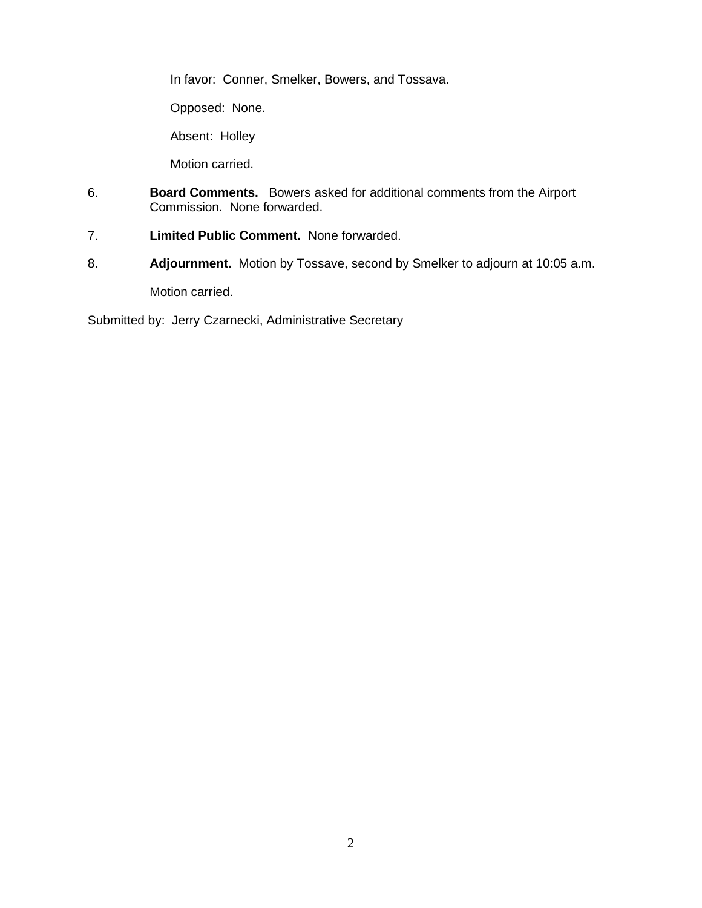In favor: Conner, Smelker, Bowers, and Tossava.

Opposed: None.

Absent: Holley

Motion carried.

- 6. **Board Comments.** Bowers asked for additional comments from the Airport Commission. None forwarded.
- 7. **Limited Public Comment.** None forwarded.
- 8. **Adjournment.** Motion by Tossave, second by Smelker to adjourn at 10:05 a.m.

Motion carried.

Submitted by: Jerry Czarnecki, Administrative Secretary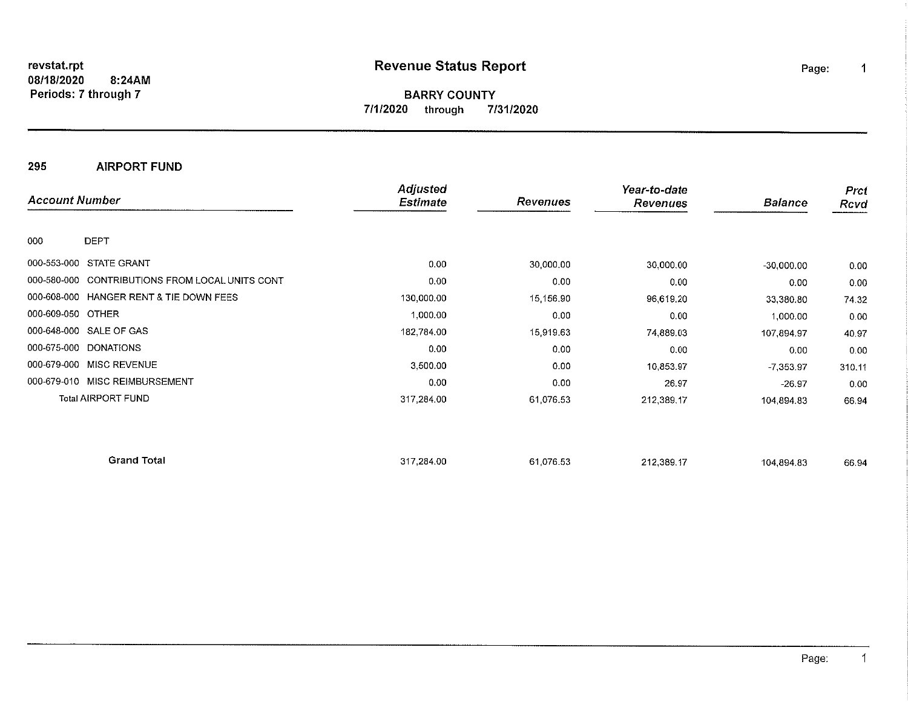revstat.rpt 8:24AM 08/18/2020 Periods: 7 through 7

# **Revenue Status Report**

**BARRY COUNTY** 7/1/2020 through 7/31/2020

295 **AIRPORT FUND** 

| <b>Account Number</b>    |                                                 | Adjusted<br><b>Estimate</b> | Revenues  | Year-to-date<br><b>Revenues</b> | <b>Balance</b> | <b>Prcf</b><br>Rcvd |
|--------------------------|-------------------------------------------------|-----------------------------|-----------|---------------------------------|----------------|---------------------|
| 000<br><b>DEPT</b>       |                                                 |                             |           |                                 |                |                     |
| 000-553-000              | STATE GRANT                                     | 0,00                        | 30,000.00 | 30,000.00                       | $-30,000.00$   | 0.00                |
|                          | 000-580-000 CONTRIBUTIONS FROM LOCAL UNITS CONT | 0.00                        | 0.00      | 0.00                            | 0.00           | 0.00                |
|                          | 000-608-000 HANGER RENT & TIE DOWN FEES         | 130,000.00                  | 15,156.90 | 96,619.20                       | 33,380.80      | 74.32               |
| 000-609-050 OTHER        |                                                 | 1,000.00                    | 0.00      | 0.00                            | 1,000.00       | 0.00                |
| 000-648-000 SALE OF GAS  |                                                 | 182,784.00                  | 15,919.63 | 74,889.03                       | 107,894.97     | 40.97               |
| 000-675-000 DONATIONS    |                                                 | 0.00                        | 0.00      | 0.00                            | 0.00           | 0.00                |
| 000-679-000 MISC REVENUE |                                                 | 3,500.00                    | 0.00      | 10.853.97                       | $-7,353.97$    | 310.11              |
|                          | 000-679-010 MISC REIMBURSEMENT                  | 0.00                        | 0.00      | 26.97                           | $-26.97$       | 0.00                |
|                          | <b>Total AIRPORT FUND</b>                       | 317,284.00                  | 61,076.53 | 212,389.17                      | 104,894.83     | 66.94               |
|                          | <b>Grand Total</b>                              | 317,284.00                  | 61,076.53 | 212.389.17                      | 104,894.83     | 66 94               |

 $\mathbf{1}$ 

Page:

 $\mathbf 1$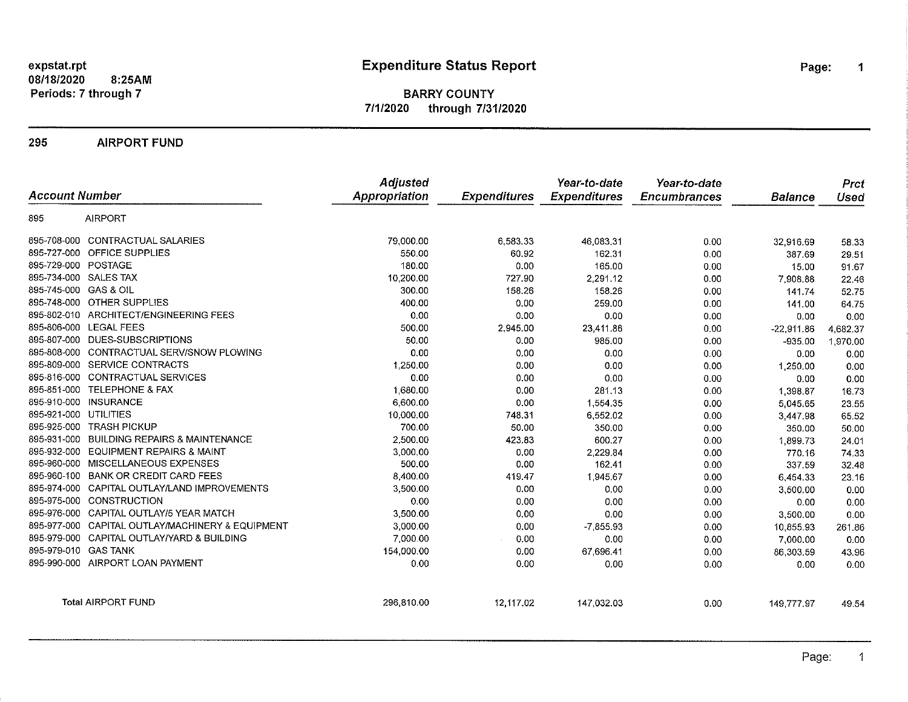expstat.rpt 08/18/2020 8:25AM Periods: 7 through 7

# **Expenditure Status Report**

Page:  $\mathbf 1$ 

#### **BARRY COUNTY** 7/1/2020 through 7/31/2020

295 **AIRPORT FUND** 

| <b>Account Number</b> |                                                  | Adjusted<br><b>Appropriation</b> | <b>Expenditures</b> | Year-to-date<br><b>Expenditures</b> | Year-to-date<br><b>Encumbrances</b> | Balance      | Prct<br>Used |
|-----------------------|--------------------------------------------------|----------------------------------|---------------------|-------------------------------------|-------------------------------------|--------------|--------------|
| 895                   | <b>AIRPORT</b>                                   |                                  |                     |                                     |                                     |              |              |
|                       | 895-708-000 CONTRACTUAL SALARIES                 | 79,000.00                        | 6,583.33            | 46,083.31                           | 0.00                                | 32,916.69    | 58.33        |
|                       | 895-727-000 OFFICE SUPPLIES                      | 550.00                           | 60.92               | 162.31                              | 0.00                                | 387.69       | 29.51        |
| 895-729-000 POSTAGE   |                                                  | 180.00                           | 0.00                | 165.00                              | 0.00                                | 15.00        | 91.67        |
| 895-734-000 SALES TAX |                                                  | 10,200.00                        | 727.90              | 2,291.12                            | 0.00                                | 7,908.88     | 22.46        |
| 895-745-000 GAS & OIL |                                                  | 300.00                           | 158.26              | 158.26                              | 0.00                                | 141.74       | 52.75        |
|                       | 895-748-000 OTHER SUPPLIES                       | 400.00                           | 0.00                | 259.00                              | 0.00                                | 141.00       | 64.75        |
|                       | 895-802-010 ARCHITECT/ENGINEERING FEES           | 0.00                             | 0.00                | 0.00                                | 0.00                                | 0.00         | 0.00         |
|                       | 895-806-000 LEGAL FEES                           | 500.00                           | 2,945.00            | 23,411.86                           | 0.00                                | $-22,911.86$ | 4,682.37     |
|                       | 895-807-000 DUES-SUBSCRIPTIONS                   | 50.00                            | 0.00                | 985.00                              | 0.00                                | $-935.00$    | 1,970.00     |
|                       | 895-808-000 CONTRACTUAL SERV/SNOW PLOWING        | 0.00                             | 0.00                | 0.00                                | 0.00                                | 0.00         | 0.00         |
|                       | 895-809-000 SERVICE CONTRACTS                    | 1,250.00                         | 0.00                | 0.00                                | 0.00                                | 1,250.00     | 0.00         |
|                       | 895-816-000 CONTRACTUAL SERVICES                 | 0.00                             | 0.00                | 0.00                                | 0.00                                | 0.00         | 0.00         |
|                       | 895-851-000 TELEPHONE & FAX                      | 1,680.00                         | 0.00                | 281,13                              | 0.00                                | 1,398.87     | 16.73        |
|                       | 895-910-000 INSURANCE                            | 6,600.00                         | 0.00                | 1.554.35                            | 0.00                                | 5,045.65     | 23.55        |
| 895-921-000 UTILITIES |                                                  | 10,000.00                        | 748.31              | 6,552.02                            | 0.00                                | 3,447.98     | 65.52        |
|                       | 895-925-000 TRASH PICKUP                         | 700.00                           | 50.00               | 350.00                              | 0.00                                | 350.00       | 50.00        |
|                       | 895-931-000 BUILDING REPAIRS & MAINTENANCE       | 2,500.00                         | 423.83              | 600.27                              | 0.00                                | 1,899.73     | 24.01        |
| 895-932-000           | <b>EQUIPMENT REPAIRS &amp; MAINT</b>             | 3,000.00                         | 0.00                | 2,229.84                            | 0.00                                | 770.16       | 74.33        |
| 895-960-000           | MISCELLANEOUS EXPENSES                           | 500.00                           | 0.00                | 162.41                              | 0.00                                | 337.59       | 32.48        |
| 895-960-100           | <b>BANK OR CREDIT CARD FEES</b>                  | 8,400.00                         | 419.47              | 1,945.67                            | 0.00                                | 6,454.33     | 23.16        |
|                       | 895-974-000 CAPITAL OUTLAY/LAND IMPROVEMENTS     | 3,500.00                         | 0.00                | 0.00                                | 0.00                                | 3,500.00     | 0.00         |
|                       | 895-975-000 CONSTRUCTION                         | 0.00                             | 0.00                | 0.00                                | 0.00                                | 0.00         | 0.00         |
|                       | 895-976-000 CAPITAL OUTLAY/5 YEAR MATCH          | 3,500.00                         | 0.00                | 0.00                                | 0.00                                | 3,500.00     | 0.00         |
|                       | 895-977-000 CAPITAL OUTLAY/MACHINERY & EQUIPMENT | 3,000.00                         | 0.00                | $-7,855.93$                         | 0.00                                | 10,855.93    | 261.86       |
|                       | 895-979-000 CAPITAL OUTLAY/YARD & BUILDING       | 7,000.00                         | 0.00                | 0.00                                | 0.00                                | 7,000.00     | 0.00         |
| 895-979-010 GAS TANK  |                                                  | 154,000.00                       | 0.00                | 67,696.41                           | 0.00                                | 86,303.59    | 43.96        |
|                       | 895-990-000 AIRPORT LOAN PAYMENT                 | 0.00                             | 0.00                | 0.00                                | 0.00                                | 0.00         | 0.00         |
|                       | <b>Total AIRPORT FUND</b>                        | 296,810.00                       | 12,117.02           | 147,032.03                          | 0.00                                | 149,777.97   | 49.54        |